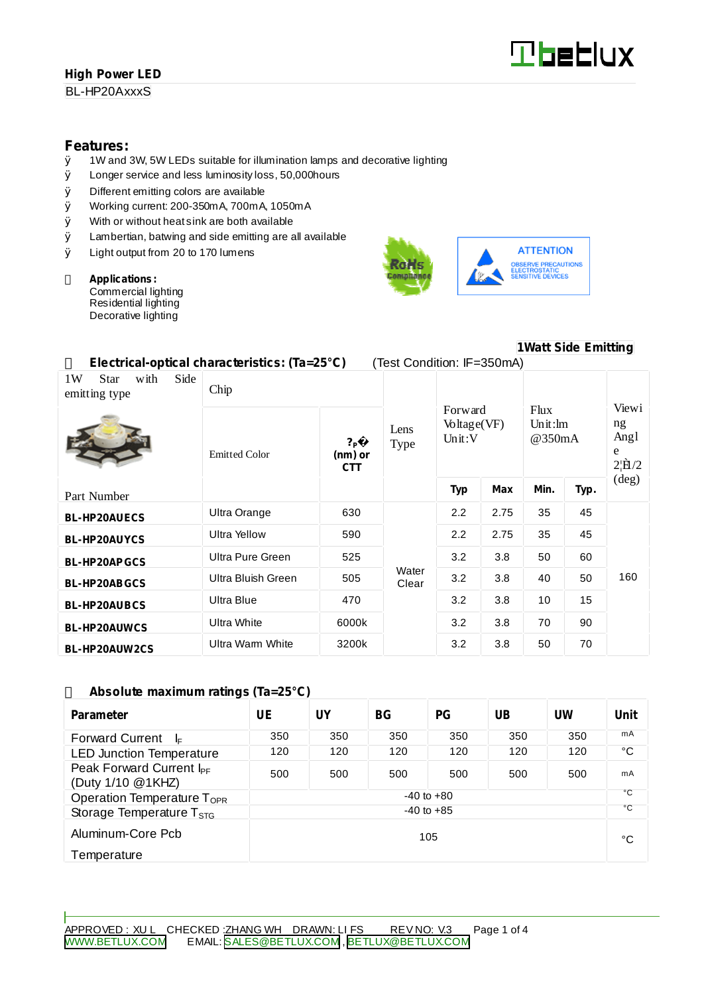# **Tbeblux**

**1Watt Side Emitting**

#### **High Power LED**

BL-HP20AxxxS

### **Features:**<br>0 1W and

- 1W and 3W, 5W LEDs suitable for illumination lamps and decorative lighting
- Ø Longer service and less luminosity loss, 50,000hours
- Ø Different emitting colors are available
- Ø Working current: 200-350mA, 700mA, 1050mA
- Ø With or without heat sink are both available
- Ø Lambertian, batwing and side emitting are all available
- Ø Light output from 20 to 170 lumens

**Applications:** Commercial lighting Residential lighting Decorative lighting





| Electrical-optical characteristics: (Ta=25°C)<br>(Test Condition: IF=350mA) |                      |                                         |                     |                                  |            |                           |      |                                                     |  |  |
|-----------------------------------------------------------------------------|----------------------|-----------------------------------------|---------------------|----------------------------------|------------|---------------------------|------|-----------------------------------------------------|--|--|
| Side<br>1W<br>with<br>Star<br>emitting type                                 | Chip                 |                                         |                     |                                  |            |                           |      |                                                     |  |  |
|                                                                             | <b>Emitted Color</b> | ? <sub>P</sub><br>(nm) or<br><b>CTT</b> | Lens<br><b>Type</b> | Forward<br>Voltage(VF)<br>Unit:V |            | Flux<br>Unit:lm<br>@350mA |      | Viewi<br>ng<br>Angl<br>e<br>$2 \hat{\mathbf{H}} /2$ |  |  |
| Part Number                                                                 |                      |                                         |                     | <b>Typ</b>                       | <b>Max</b> | Min.                      | Typ. | $(\text{deg})$                                      |  |  |
| <b>BL-HP20AUECS</b>                                                         | Ultra Orange         | 630                                     | Water<br>Clear      | 2.2                              | 2.75       | 35                        | 45   | 160                                                 |  |  |
| <b>BL-HP20AUYCS</b>                                                         | <b>Ultra Yellow</b>  | 590                                     |                     | 2.2                              | 2.75       | 35                        | 45   |                                                     |  |  |
| <b>BL-HP20APGCS</b>                                                         | Ultra Pure Green     | 525                                     |                     | 3.2                              | 3.8        | 50                        | 60   |                                                     |  |  |
| <b>BL-HP20ABGCS</b>                                                         | Ultra Bluish Green   | 505                                     |                     | 3.2                              | 3.8        | 40                        | 50   |                                                     |  |  |
| <b>BL-HP20AUBCS</b>                                                         | Ultra Blue           | 470                                     |                     | 3.2                              | 3.8        | 10                        | 15   |                                                     |  |  |
| <b>BL-HP20AUWCS</b>                                                         | <b>Ultra White</b>   | 6000k                                   |                     | 3.2                              | 3.8        | 70                        | 90   |                                                     |  |  |
| <b>BL-HP20AUW2CS</b>                                                        | Ultra Warm White     | 3200k                                   |                     | 3.2                              | 3.8        | 50                        | 70   |                                                     |  |  |
|                                                                             |                      |                                         |                     |                                  |            |                           |      |                                                     |  |  |

#### **Absolute maximum ratings (Ta=25°C)**

| <b>Parameter</b>                                          | UE             | UY  | BG <sub>f</sub> | PG  | $\overline{\text{UB}}$ | UW  | Unit        |
|-----------------------------------------------------------|----------------|-----|-----------------|-----|------------------------|-----|-------------|
| <b>Forward Current</b><br>l⊧.                             | 350            | 350 | 350             | 350 | 350                    | 350 | mA          |
| <b>LED Junction Temperature</b>                           | 120            | 120 | 120             | 120 | 120                    | 120 | °C          |
| Peak Forward Current I <sub>PF</sub><br>(Duty 1/10 @1KHZ) | 500            | 500 | 500             | 500 | 500                    | 500 | mA          |
| Operation Temperature $T_{\text{OPR}}$                    | $-40$ to $+80$ |     |                 |     |                        |     | $^{\circ}C$ |
| Storage Temperature $T_{\rm STG}$                         | $-40$ to $+85$ |     |                 |     |                        |     | °C          |
| Aluminum-Core Pcb<br>105                                  |                |     |                 |     |                        |     |             |
| Temperature                                               |                |     |                 |     |                        |     |             |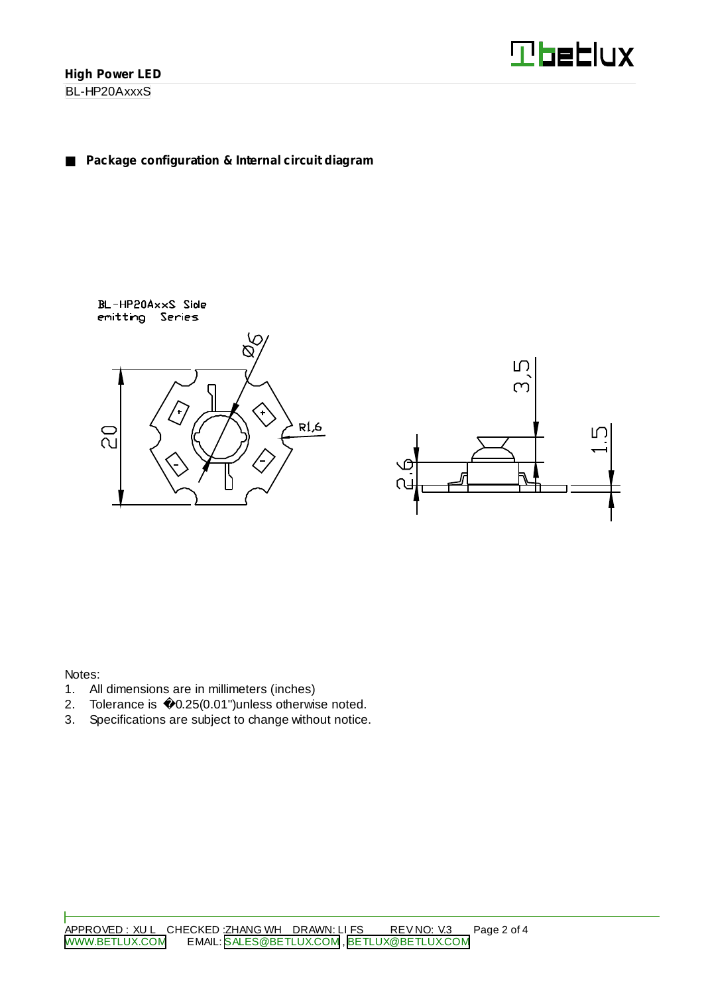

#### **Package configuration & Internal circuit diagram**







Notes:

- 1. All dimensions are in millimeters (inches)
- 2. Tolerance is 0.25(0.01")unless otherwise noted.
- 3. Specifications are subject to change without notice.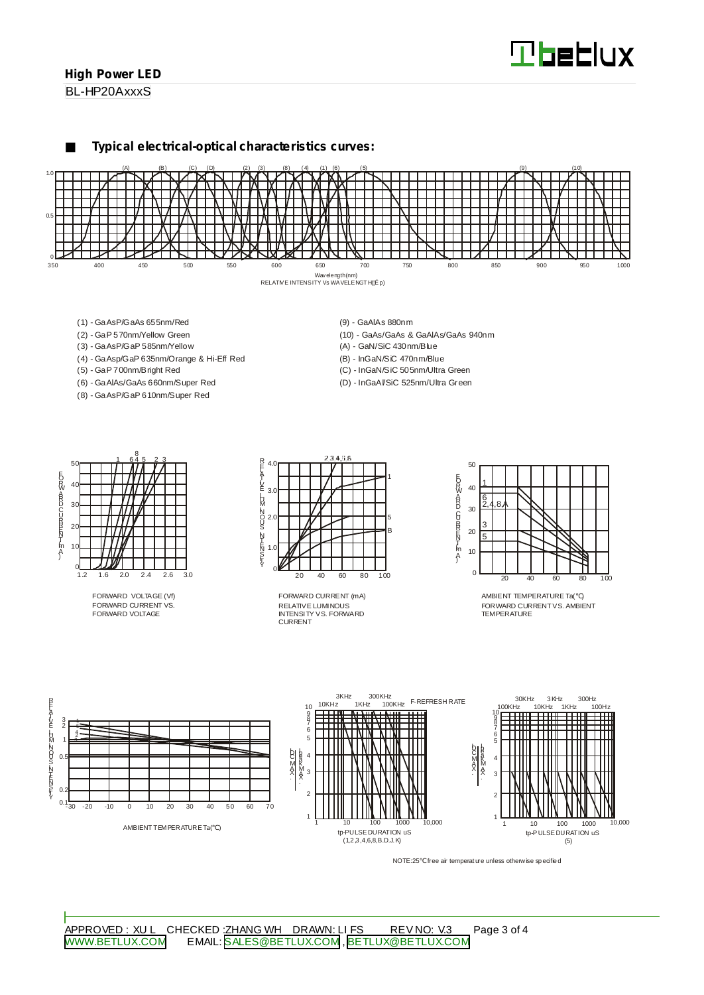### **High Power LED**

BL-HP20AxxxS

**Typical electrical-optical characteristics curves:**



- (1) GaAsP/GaAs 655nm/Red
- (2) GaP 570nm/Yellow Green
- (3) GaAsP/GaP 585nm/Yellow
- (4) GaAsp/GaP 635nm/Orange & Hi-Eff Red
- (5) GaP 700nm/Bright Red
- (6) GaAlAs/GaAs 660nm/Super Red
- (8) GaAsP/GaP 610nm/Super Red
- (9) GaAlAs 880nm
- (10) GaAs/GaAs & GaAlAs/GaAs 940nm
- (A) GaN/SiC 430nm/Blue
- (B) InGaN/SiC 470nm/Blue
- (C) InGaN/SiC 505nm/Ultra Green
- (D) InGaAl/SiC 525nm/Ultra Green



FORWARD VOLTAGE (Vf) FORWARD CURRENT VS. FORWARD VOLTAGE



RELATIVE LUMINOUS INTENSITY VS. FORWARD CURRENT FORWARD CURRENT (mA)



AMBIENT TEMPERATURE Ta( ) FORWARD CURRENTVS. AMBIENT TEMPERATURE



NOTE:25 free air temperature unless otherwise specified